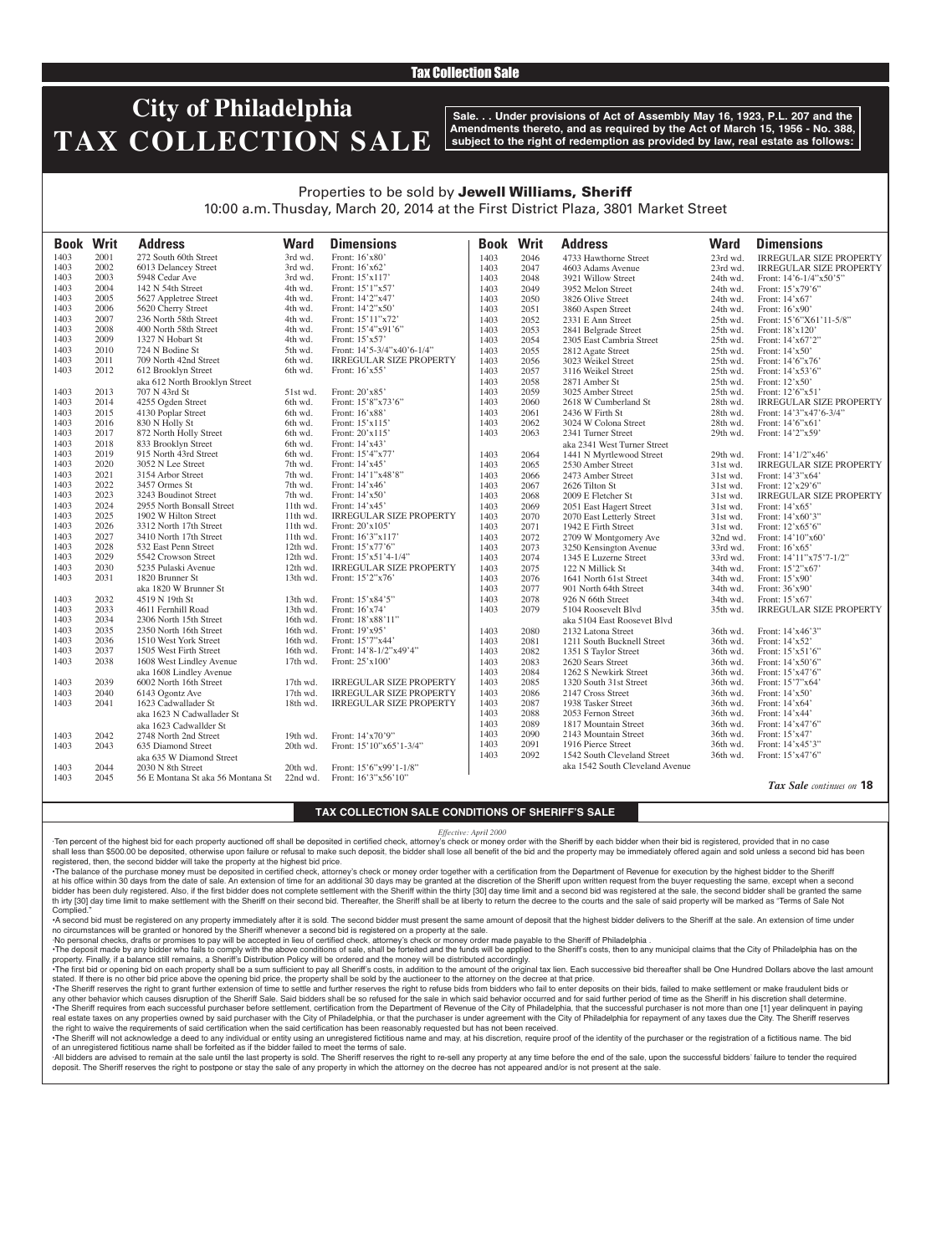## Tax Collection Sale

# **City of Philadelphia TAX COLLECTION SALE**

**Sale. . . Under provisions of Act of Assembly May 16, 1923, P.L. 207 and the Amendments thereto, and as required by the Act of March 15, 1956 - No. 388, subject to the right of redemption as provided by law, real estate as follows:**

## Properties to be sold by Jewell Williams, Sheriff 10:00 a.m. Thusday, March 20, 2014 at the First District Plaza, 3801 Market Street

| <b>Book Writ</b> |      | <b>Address</b>                                                 | <b>Ward</b> | <b>Dimensions</b>              | <b>Book</b> | <b>Writ</b> | <b>Address</b>                  | <b>Ward</b> | <b>Dimensions</b>              |
|------------------|------|----------------------------------------------------------------|-------------|--------------------------------|-------------|-------------|---------------------------------|-------------|--------------------------------|
| 1403             | 2001 | 272 South 60th Street                                          | 3rd wd.     | Front: 16'x80'                 | 1403        | 2046        | 4733 Hawthorne Street           | 23rd wd.    | <b>IRREGULAR SIZE PROPERTY</b> |
| 1403             | 2002 | 6013 Delancey Street                                           | 3rd wd.     | Front: 16'x62'                 | 1403        | 2047        | 4603 Adams Avenue               | 23rd wd.    | <b>IRREGULAR SIZE PROPERTY</b> |
| 1403             | 2003 | 5948 Cedar Ave                                                 | 3rd wd.     | Front: 15'x117'                | 1403        | 2048        | 3921 Willow Street              | 24th wd.    | Front: $14'6 - 1/4''x50'5''$   |
| 1403             | 2004 | 142 N 54th Street                                              | 4th wd.     | Front: 15'1"x57'               | 1403        | 2049        | 3952 Melon Street               | 24th wd.    | Front: 15'x79'6"               |
| 1403             | 2005 | 5627 Appletree Street                                          | 4th wd.     | Front: 14'2"x47'               | 1403        | 2050        | 3826 Olive Street               | 24th wd.    | Front: 14'x67'                 |
| 1403             | 2006 | 5620 Cherry Street                                             | 4th wd.     | Front: 14'2"x50'               | 1403        | 2051        | 3860 Aspen Street               | 24th wd.    | Front: 16'x90'                 |
| 1403             | 2007 | 236 North 58th Street                                          | 4th wd.     | Front: 15'11"x72'              | 1403        | 2052        | 2331 E Ann Street               | 25th wd.    | Front: 15'6"X61'11-5/8"        |
| 1403             | 2008 | 400 North 58th Street                                          | 4th wd.     | Front: 15'4"x91'6"             | 1403        | 2053        | 2841 Belgrade Street            | 25th wd.    | Front: 18'x120'                |
| 1403             | 2009 | 1327 N Hobart St                                               | 4th wd.     | Front: 15'x57'                 | 1403        | 2054        | 2305 East Cambria Street        | 25th wd.    | Front: 14'x67'2"               |
| 1403             | 2010 | 724 N Bodine St                                                | 5th wd.     | Front: 14'5-3/4"x40'6-1/4"     | 1403        | 2055        | 2812 Agate Street               | 25th wd.    | Front: 14'x50'                 |
| 1403             | 2011 | 709 North 42nd Street                                          | 6th wd.     | <b>IRREGULAR SIZE PROPERTY</b> | 1403        | 2056        | 3023 Weikel Street              | 25th wd.    | Front: 14'6"x76'               |
| 1403             | 2012 | 612 Brooklyn Street                                            | 6th wd.     | Front: $16'x55'$               | 1403        | 2057        | 3116 Weikel Street              | 25th wd.    | Front: 14'x53'6"               |
|                  |      | aka 612 North Brooklyn Street                                  |             |                                | 1403        | 2058        | 2871 Amber St                   | 25th wd.    | Front: 12'x50'                 |
| 1403             | 2013 | 707 N 43rd St                                                  | 51st wd.    | Front: 20'x85'                 | 1403        | 2059        | 3025 Amber Street               | 25th wd.    | Front: 12'6"x51'               |
| 1403             | 2014 | 4255 Ogden Street                                              | 6th wd.     | Front: 15'8"x73'6"             | 1403        | 2060        | 2618 W Cumberland St            | 28th wd.    | <b>IRREGULAR SIZE PROPERTY</b> |
| 1403             | 2015 | 4130 Poplar Street                                             | 6th wd.     | Front: 16'x88'                 | 1403        | 2061        | 2436 W Firth St                 | 28th wd.    | Front: 14'3"x47'6-3/4"         |
| 1403             | 2016 | 830 N Holly St                                                 | 6th wd.     | Front: 15'x115'                | 1403        | 2062        | 3024 W Colona Street            | 28th wd.    | Front: 14'6"x61'               |
| 1403             | 2017 | 872 North Holly Street                                         | 6th wd.     | Front: 20'x115'                | 1403        | 2063        | 2341 Turner Street              | 29th wd.    | Front: 14'2"x59'               |
| 1403             | 2018 | 833 Brooklyn Street                                            | 6th wd.     | Front: 14'x43'                 |             |             | aka 2341 West Turner Street     |             |                                |
| 1403             | 2019 | 915 North 43rd Street                                          | 6th wd.     | Front: 15'4"x77'               | 1403        | 2064        | 1441 N Myrtlewood Street        | 29th wd.    | Front: 14'1/2"x46'             |
| 1403             | 2020 | 3052 N Lee Street                                              | 7th wd.     | Front: 14'x45'                 | 1403        | 2065        | 2530 Amber Street               | 31st wd.    | <b>IRREGULAR SIZE PROPERTY</b> |
| 1403             | 2021 | 3154 Arbor Street                                              | 7th wd.     | Front: 14'1"x48'8"             | 1403        | 2066        | 2473 Amber Street               | 31st wd.    | Front: 14'3"x64'               |
| 1403             | 2022 | 3457 Ormes St                                                  | 7th wd.     | Front: 14'x46'                 | 1403        | 2067        | 2626 Tilton St                  | 31st wd.    | Front: 12'x29'6"               |
| 1403             | 2023 | 3243 Boudinot Street                                           | 7th wd.     | Front: 14'x50'                 | 1403        | 2068        | 2009 E Fletcher St              | 31st wd.    | <b>IRREGULAR SIZE PROPERTY</b> |
| 1403             | 2024 | 2955 North Bonsall Street                                      | 11th wd.    | Front: $14'x45'$               | 1403        | 2069        | 2051 East Hagert Street         | 31st wd.    | Front: 14'x65'                 |
| 1403             | 2025 | 1902 W Hilton Street                                           | 11th wd.    | <b>IRREGULAR SIZE PROPERTY</b> | 1403        | 2070        | 2070 East Letterly Street       | 31st wd.    | Front: 14'x60'3"               |
| 1403             | 2026 | 3312 North 17th Street                                         | 11th wd.    | Front: 20'x105'                | 1403        | 2071        | 1942 E Firth Street             | 31st wd.    | Front: 12'x65'6"               |
| 1403             | 2027 | 3410 North 17th Street                                         | 11th wd.    | Front: 16'3"x117'              | 1403        | 2072        | 2709 W Montgomery Ave           | 32nd wd.    | Front: 14'10"x60'              |
| 1403             | 2028 | 532 East Penn Street                                           | 12th wd.    | Front: 15'x77'6"               | 1403        | 2073        | 3250 Kensington Avenue          | 33rd wd.    | Front: 16'x65'                 |
| 1403             | 2029 | 5542 Crowson Street                                            | 12th wd.    | Front: $15'x51'4-1/4"$         | 1403        | 2074        | 1345 E Luzerne Street           | 33rd wd.    | Front: 14'11"x75'7-1/2"        |
| 1403             | 2030 | 5235 Pulaski Avenue                                            | 12th wd.    | <b>IRREGULAR SIZE PROPERTY</b> | 1403        | 2075        | 122 N Millick St                | 34th wd.    | Front: 15'2"x67'               |
| 1403             | 2031 | 1820 Brunner St                                                | 13th wd.    | Front: 15'2"x76'               | 1403        | 2076        | 1641 North 61st Street          | 34th wd.    | Front: 15'x90'                 |
|                  |      | aka 1820 W Brunner St                                          |             |                                | 1403        | 2077        | 901 North 64th Street           | 34th wd.    | Front: 36'x90'                 |
| 1403             | 2032 | 4519 N 19th St                                                 | 13th wd.    | Front: 15'x84'5"               | 1403        | 2078        | 926 N 66th Street               | 34th wd.    | Front: 15'x67'                 |
| 1403             | 2033 | 4611 Fernhill Road                                             | 13th wd.    | Front: $16'x74'$               | 1403        | 2079        | 5104 Roosevelt Blvd             | 35th wd.    | <b>IRREGULAR SIZE PROPERTY</b> |
| 1403             | 2034 | 2306 North 15th Street                                         | 16th wd.    | Front: 18'x88'11"              |             |             | aka 5104 East Roosevet Blvd     |             |                                |
| 1403             | 2035 | 2350 North 16th Street                                         | 16th wd.    | Front: 19'x95'                 | 1403        | 2080        | 2132 Latona Street              | 36th wd.    | Front: 14'x46'3"               |
| 1403             | 2036 | 1510 West York Street                                          | 16th wd.    | Front: 15'7"x44'               | 1403        | 2081        | 1211 South Bucknell Street      | 36th wd.    | Front: 14'x52'                 |
| 1403             | 2037 | 1505 West Firth Street                                         | 16th wd.    | Front: 14'8-1/2"x49'4"         | 1403        | 2082        | 1351 S Taylor Street            | 36th wd.    | Front: 15'x51'6"               |
| 1403             | 2038 | 1608 West Lindley Avenue                                       | 17th wd.    | Front: 25'x100'                | 1403        | 2083        | 2620 Sears Street               | 36th wd.    | Front: 14'x50'6"               |
|                  |      | aka 1608 Lindley Avenue                                        |             |                                | 1403        | 2084        | 1262 S Newkirk Street           | 36th wd.    | Front: 15'x47'6"               |
| 1403             | 2039 | 6002 North 16th Street                                         | 17th wd.    | <b>IRREGULAR SIZE PROPERTY</b> | 1403        | 2085        | 1320 South 31st Street          | 36th wd.    | Front: 15'7"x64'               |
| 1403             | 2040 | 6143 Ogontz Ave                                                | 17th wd.    | <b>IRREGULAR SIZE PROPERTY</b> | 1403        | 2086        | 2147 Cross Street               | 36th wd.    | Front: 14'x50'                 |
| 1403             | 2041 | 1623 Cadwallader St                                            | 18th wd.    | <b>IRREGULAR SIZE PROPERTY</b> | 1403        | 2087        | 1938 Tasker Street              | 36th wd.    | Front: 14'x64'                 |
|                  |      | aka 1623 N Cadwallader St                                      |             |                                | 1403        | 2088        | 2053 Fernon Street              | 36th wd.    | Front: 14'x44'                 |
|                  |      | aka 1623 Cadwallder St                                         |             |                                | 1403        | 2089        | 1817 Mountain Street            | 36th wd.    | Front: 14'x47'6"               |
| 1403             | 2042 | 2748 North 2nd Street                                          | $19th$ wd.  | Front: 14'x70'9"               | 1403        | 2090        | 2143 Mountain Street            | 36th wd.    | Front: 15'x47'                 |
| 1403             | 2043 | 635 Diamond Street                                             | 20th wd.    | Front: 15'10"x65'1-3/4"        | 1403        | 2091        | 1916 Pierce Street              | 36th wd.    | Front: 14'x45'3"               |
|                  |      | aka 635 W Diamond Street                                       |             |                                | 1403        | 2092        | 1542 South Cleveland Street     | 36th wd.    | Front: 15'x47'6"               |
| 1403             | 2044 | 2030 N 8th Street                                              | 20th wd.    | Front: 15'6"x99'1-1/8"         |             |             | aka 1542 South Cleveland Avenue |             |                                |
| 1403             | 2045 | 56 E Montana St aka 56 Montana St 22nd wd. Front: 16'3"x56'10" |             |                                |             |             |                                 |             | Tax Sale continues on 18       |

### **TAX COLLECTION SALE CONDITIONS OF SHERIFF'S SALE**

#### *Effective: April 2000*

·Ten percent of the highest bid for each property auctioned off shall be deposited in certified check, attorney's check or money order with the Sheriff by each bidder when their bid is registered, provided that in no case shall less than \$500.00 be deposited, otherwise upon failure or refusal to make such deposit, the bidder shall lose all benefit of the bid and the property may be immediately offered again and sold unless a second bid has registered, then, the second bidder will take the property at the highest bid price.

•The balance of the purchase money must be deposited in certified check, attorney's check or money order together with a certification from the Department of Revenue for execution by the highest bidder to the Sheriff at his office within 30 days from the date of sale. An extension of time for an additional 30 days may be granted at the discretion of the Sheriff upon written request from the buyer requesting the same, except when a second bidder has been duly registered. Also, if the first bidder does not complete settlement with the Sheriff within the thirty [30] day time limit and a second bid was registered at the sale, the second bidder shall be granted th irty [30] day time limit to make settlement with the Sheriff on their second bid. Thereafter, the Sheriff shall be at liberty to return the decree to the courts and the sale of said property will be marked as "Terms of Complied.

•A second bid must be registered on any property immediately after it is sold. The second bidder must present the same amount of deposit that the highest bidder delivers to the Sheriff at the sale. An extension of time under no circumstances will be granted or honored by the Sheriff whenever a second bid is registered on a property at the sale.

·No personal checks, drafts or promises to pay will be accepted in lieu of certified check, attorney's check or money order made payable to the Sheriff of Philadelphia .

. The deposit made by any bidder who fails to comply with the above conditions of sale, shall be forteited and the funds will be applied to the Sheriff's costs, then to any municipal claims that the City of Philadelphia ha

property. Finally, if a balance still remains, a Sheriff's Distribution Policy will be ordered and the money will be distributed accordingly. The first bid or opening bid on each property shall be a sum sufficient to pay all Sheriff's costs, in addition to the amount of the original tax lien. Each successive bid thereafter shall be One Hundred Dollars above the stated. If there is no other bid price above the opening bid price, the property shall be sold by the auctioneer to the attorney on the decree at that price.

·The Sheriff reserves the right to grant further extension of time to settle and further reserves the right to refuse bids from bidders who fail to enter deposits on their bids, failed to make settlement or make fraudulent any other behavior which causes disruption of the Sheriff Sale. Said bidders shall be so refused for the sale in which said behavior occurred and for said further period of time as the Sheriff in his discretion shall deter The Sheriff requires from each successful purchaser before settlement, certification from the Department of Revenue of the City of Philadelphia, that the successful purchaser is not more than one [1] year delinquent in pay real estate taxes on any properties owned by said purchaser with the City of Philadelphia, or that the purchaser is under agreement with the City of Philadelphia for repayment of any taxes due the City. The Sheriff reserve the right to waive the requirements of said certification when the said certification has been reasonably requested but has not been received.

. The Sheriff will not acknowledge a deed to any individual or entity using an unregistered fictitious name and may, at his discretion, require proof of the identity of the purchaser or the registration of a fictitious nam of an unregistered fictitious name shall be forfeited as if the bidder failed to meet the terms of sale.

All bidders are advised to remain at the sale until the last property is sold. The Sheriff reserves the right to re-sell any property at any time before the end of the sale, upon the successful bidders' failure to tender t deposit. The Sheriff reserves the right to postpone or stay the sale of any property in which the attorney on the decree has not appeared and/or is not present at the sale.